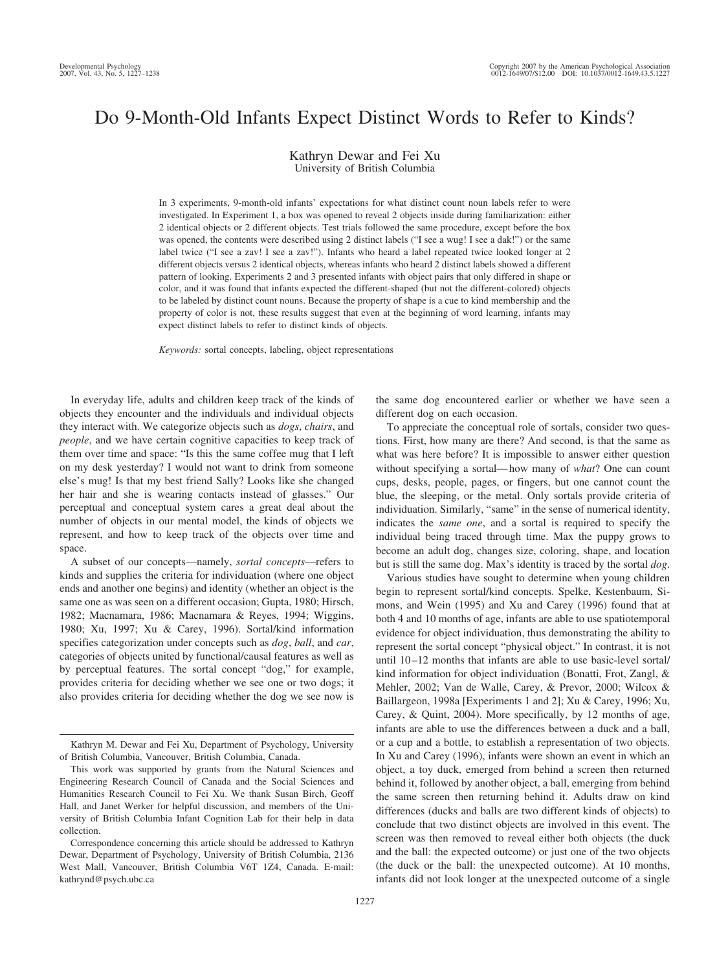# Do 9-Month-Old Infants Expect Distinct Words to Refer to Kinds?

Kathryn Dewar and Fei Xu University of British Columbia

In 3 experiments, 9-month-old infants' expectations for what distinct count noun labels refer to were investigated. In Experiment 1, a box was opened to reveal 2 objects inside during familiarization: either 2 identical objects or 2 different objects. Test trials followed the same procedure, except before the box was opened, the contents were described using 2 distinct labels ("I see a wug! I see a dak!") or the same label twice ("I see a zav! I see a zav!"). Infants who heard a label repeated twice looked longer at 2 different objects versus 2 identical objects, whereas infants who heard 2 distinct labels showed a different pattern of looking. Experiments 2 and 3 presented infants with object pairs that only differed in shape or color, and it was found that infants expected the different-shaped (but not the different-colored) objects to be labeled by distinct count nouns. Because the property of shape is a cue to kind membership and the property of color is not, these results suggest that even at the beginning of word learning, infants may expect distinct labels to refer to distinct kinds of objects.

*Keywords:* sortal concepts, labeling, object representations

In everyday life, adults and children keep track of the kinds of objects they encounter and the individuals and individual objects they interact with. We categorize objects such as *dogs*, *chairs*, and *people*, and we have certain cognitive capacities to keep track of them over time and space: "Is this the same coffee mug that I left on my desk yesterday? I would not want to drink from someone else's mug! Is that my best friend Sally? Looks like she changed her hair and she is wearing contacts instead of glasses." Our perceptual and conceptual system cares a great deal about the number of objects in our mental model, the kinds of objects we represent, and how to keep track of the objects over time and space.

A subset of our concepts—namely, *sortal concepts*—refers to kinds and supplies the criteria for individuation (where one object ends and another one begins) and identity (whether an object is the same one as was seen on a different occasion; Gupta, 1980; Hirsch, 1982; Macnamara, 1986; Macnamara & Reyes, 1994; Wiggins, 1980; Xu, 1997; Xu & Carey, 1996). Sortal/kind information specifies categorization under concepts such as *dog*, *ball*, and *car*, categories of objects united by functional/causal features as well as by perceptual features. The sortal concept "dog," for example, provides criteria for deciding whether we see one or two dogs; it also provides criteria for deciding whether the dog we see now is the same dog encountered earlier or whether we have seen a different dog on each occasion.

To appreciate the conceptual role of sortals, consider two questions. First, how many are there? And second, is that the same as what was here before? It is impossible to answer either question without specifying a sortal— how many of *what*? One can count cups, desks, people, pages, or fingers, but one cannot count the blue, the sleeping, or the metal. Only sortals provide criteria of individuation. Similarly, "same" in the sense of numerical identity, indicates the *same one*, and a sortal is required to specify the individual being traced through time. Max the puppy grows to become an adult dog, changes size, coloring, shape, and location but is still the same dog. Max's identity is traced by the sortal *dog*.

Various studies have sought to determine when young children begin to represent sortal/kind concepts. Spelke, Kestenbaum, Simons, and Wein (1995) and Xu and Carey (1996) found that at both 4 and 10 months of age, infants are able to use spatiotemporal evidence for object individuation, thus demonstrating the ability to represent the sortal concept "physical object." In contrast, it is not until 10-12 months that infants are able to use basic-level sortal/ kind information for object individuation (Bonatti, Frot, Zangl, & Mehler, 2002; Van de Walle, Carey, & Prevor, 2000; Wilcox & Baillargeon, 1998a [Experiments 1 and 2]; Xu & Carey, 1996; Xu, Carey, & Quint, 2004). More specifically, by 12 months of age, infants are able to use the differences between a duck and a ball, or a cup and a bottle, to establish a representation of two objects. In Xu and Carey (1996), infants were shown an event in which an object, a toy duck, emerged from behind a screen then returned behind it, followed by another object, a ball, emerging from behind the same screen then returning behind it. Adults draw on kind differences (ducks and balls are two different kinds of objects) to conclude that two distinct objects are involved in this event. The screen was then removed to reveal either both objects (the duck and the ball: the expected outcome) or just one of the two objects (the duck or the ball: the unexpected outcome). At 10 months, infants did not look longer at the unexpected outcome of a single

Kathryn M. Dewar and Fei Xu, Department of Psychology, University of British Columbia, Vancouver, British Columbia, Canada.

This work was supported by grants from the Natural Sciences and Engineering Research Council of Canada and the Social Sciences and Humanities Research Council to Fei Xu. We thank Susan Birch, Geoff Hall, and Janet Werker for helpful discussion, and members of the University of British Columbia Infant Cognition Lab for their help in data collection.

Correspondence concerning this article should be addressed to Kathryn Dewar, Department of Psychology, University of British Columbia, 2136 West Mall, Vancouver, British Columbia V6T 1Z4, Canada. E-mail: kathrynd@psych.ubc.ca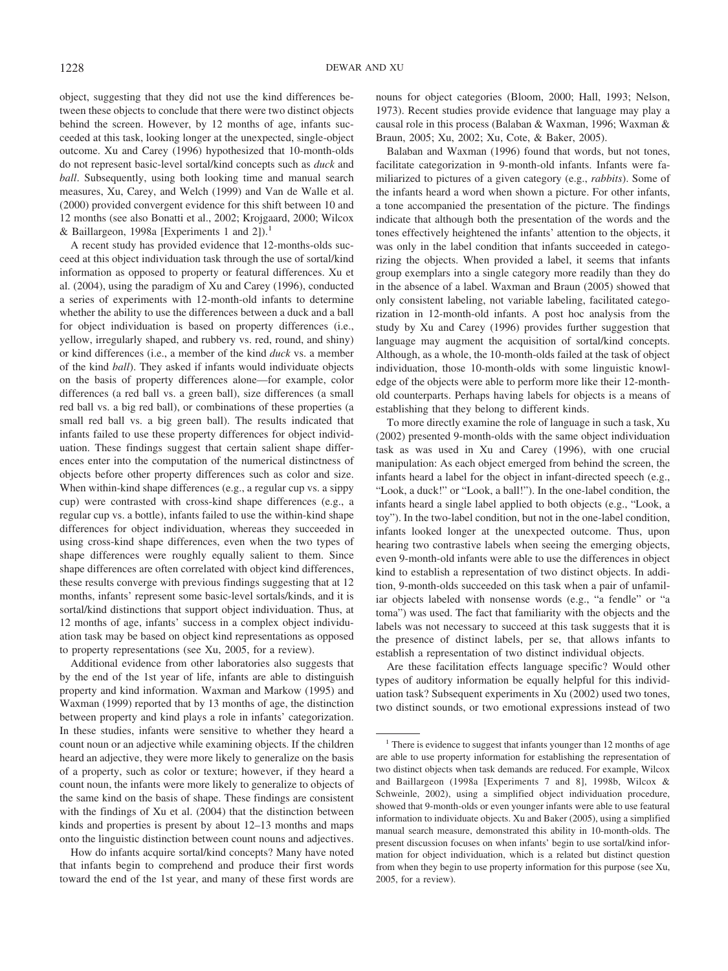object, suggesting that they did not use the kind differences between these objects to conclude that there were two distinct objects behind the screen. However, by 12 months of age, infants succeeded at this task, looking longer at the unexpected, single-object outcome. Xu and Carey (1996) hypothesized that 10-month-olds do not represent basic-level sortal/kind concepts such as *duck* and *ball*. Subsequently, using both looking time and manual search measures, Xu, Carey, and Welch (1999) and Van de Walle et al. (2000) provided convergent evidence for this shift between 10 and 12 months (see also Bonatti et al., 2002; Krojgaard, 2000; Wilcox & Baillargeon, 1998a [Experiments 1 and 2]).<sup>1</sup>

A recent study has provided evidence that 12-months-olds succeed at this object individuation task through the use of sortal/kind information as opposed to property or featural differences. Xu et al. (2004), using the paradigm of Xu and Carey (1996), conducted a series of experiments with 12-month-old infants to determine whether the ability to use the differences between a duck and a ball for object individuation is based on property differences (i.e., yellow, irregularly shaped, and rubbery vs. red, round, and shiny) or kind differences (i.e., a member of the kind *duck* vs. a member of the kind *ball*). They asked if infants would individuate objects on the basis of property differences alone—for example, color differences (a red ball vs. a green ball), size differences (a small red ball vs. a big red ball), or combinations of these properties (a small red ball vs. a big green ball). The results indicated that infants failed to use these property differences for object individuation. These findings suggest that certain salient shape differences enter into the computation of the numerical distinctness of objects before other property differences such as color and size. When within-kind shape differences (e.g., a regular cup vs. a sippy cup) were contrasted with cross-kind shape differences (e.g., a regular cup vs. a bottle), infants failed to use the within-kind shape differences for object individuation, whereas they succeeded in using cross-kind shape differences, even when the two types of shape differences were roughly equally salient to them. Since shape differences are often correlated with object kind differences, these results converge with previous findings suggesting that at 12 months, infants' represent some basic-level sortals/kinds, and it is sortal/kind distinctions that support object individuation. Thus, at 12 months of age, infants' success in a complex object individuation task may be based on object kind representations as opposed to property representations (see Xu, 2005, for a review).

Additional evidence from other laboratories also suggests that by the end of the 1st year of life, infants are able to distinguish property and kind information. Waxman and Markow (1995) and Waxman (1999) reported that by 13 months of age, the distinction between property and kind plays a role in infants' categorization. In these studies, infants were sensitive to whether they heard a count noun or an adjective while examining objects. If the children heard an adjective, they were more likely to generalize on the basis of a property, such as color or texture; however, if they heard a count noun, the infants were more likely to generalize to objects of the same kind on the basis of shape. These findings are consistent with the findings of Xu et al. (2004) that the distinction between kinds and properties is present by about 12–13 months and maps onto the linguistic distinction between count nouns and adjectives.

How do infants acquire sortal/kind concepts? Many have noted that infants begin to comprehend and produce their first words toward the end of the 1st year, and many of these first words are nouns for object categories (Bloom, 2000; Hall, 1993; Nelson, 1973). Recent studies provide evidence that language may play a causal role in this process (Balaban & Waxman, 1996; Waxman & Braun, 2005; Xu, 2002; Xu, Cote, & Baker, 2005).

Balaban and Waxman (1996) found that words, but not tones, facilitate categorization in 9-month-old infants. Infants were familiarized to pictures of a given category (e.g., *rabbits*). Some of the infants heard a word when shown a picture. For other infants, a tone accompanied the presentation of the picture. The findings indicate that although both the presentation of the words and the tones effectively heightened the infants' attention to the objects, it was only in the label condition that infants succeeded in categorizing the objects. When provided a label, it seems that infants group exemplars into a single category more readily than they do in the absence of a label. Waxman and Braun (2005) showed that only consistent labeling, not variable labeling, facilitated categorization in 12-month-old infants. A post hoc analysis from the study by Xu and Carey (1996) provides further suggestion that language may augment the acquisition of sortal/kind concepts. Although, as a whole, the 10-month-olds failed at the task of object individuation, those 10-month-olds with some linguistic knowledge of the objects were able to perform more like their 12-monthold counterparts. Perhaps having labels for objects is a means of establishing that they belong to different kinds.

To more directly examine the role of language in such a task, Xu (2002) presented 9-month-olds with the same object individuation task as was used in Xu and Carey (1996), with one crucial manipulation: As each object emerged from behind the screen, the infants heard a label for the object in infant-directed speech (e.g., "Look, a duck!" or "Look, a ball!"). In the one-label condition, the infants heard a single label applied to both objects (e.g., "Look, a toy"). In the two-label condition, but not in the one-label condition, infants looked longer at the unexpected outcome. Thus, upon hearing two contrastive labels when seeing the emerging objects, even 9-month-old infants were able to use the differences in object kind to establish a representation of two distinct objects. In addition, 9-month-olds succeeded on this task when a pair of unfamiliar objects labeled with nonsense words (e.g., "a fendle" or "a toma") was used. The fact that familiarity with the objects and the labels was not necessary to succeed at this task suggests that it is the presence of distinct labels, per se, that allows infants to establish a representation of two distinct individual objects.

Are these facilitation effects language specific? Would other types of auditory information be equally helpful for this individuation task? Subsequent experiments in Xu (2002) used two tones, two distinct sounds, or two emotional expressions instead of two

<sup>&</sup>lt;sup>1</sup> There is evidence to suggest that infants younger than 12 months of age are able to use property information for establishing the representation of two distinct objects when task demands are reduced. For example, Wilcox and Baillargeon (1998a [Experiments 7 and 8], 1998b, Wilcox & Schweinle, 2002), using a simplified object individuation procedure, showed that 9-month-olds or even younger infants were able to use featural information to individuate objects. Xu and Baker (2005), using a simplified manual search measure, demonstrated this ability in 10-month-olds. The present discussion focuses on when infants' begin to use sortal/kind information for object individuation, which is a related but distinct question from when they begin to use property information for this purpose (see Xu, 2005, for a review).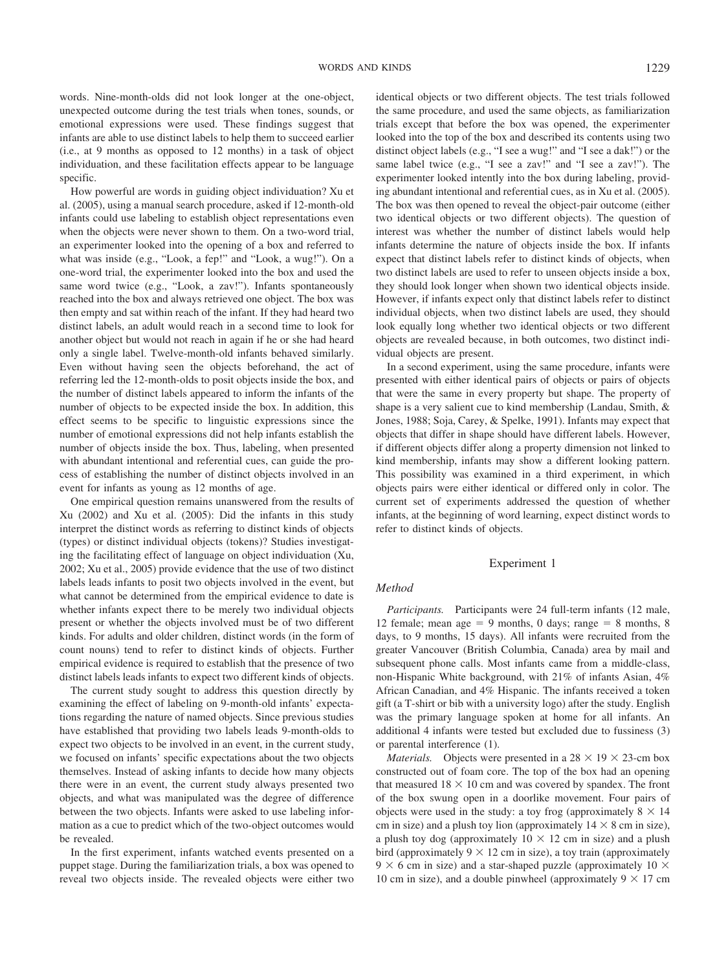words. Nine-month-olds did not look longer at the one-object, unexpected outcome during the test trials when tones, sounds, or emotional expressions were used. These findings suggest that infants are able to use distinct labels to help them to succeed earlier (i.e., at 9 months as opposed to 12 months) in a task of object individuation, and these facilitation effects appear to be language specific.

How powerful are words in guiding object individuation? Xu et al. (2005), using a manual search procedure, asked if 12-month-old infants could use labeling to establish object representations even when the objects were never shown to them. On a two-word trial, an experimenter looked into the opening of a box and referred to what was inside (e.g., "Look, a fep!" and "Look, a wug!"). On a one-word trial, the experimenter looked into the box and used the same word twice (e.g., "Look, a zav!"). Infants spontaneously reached into the box and always retrieved one object. The box was then empty and sat within reach of the infant. If they had heard two distinct labels, an adult would reach in a second time to look for another object but would not reach in again if he or she had heard only a single label. Twelve-month-old infants behaved similarly. Even without having seen the objects beforehand, the act of referring led the 12-month-olds to posit objects inside the box, and the number of distinct labels appeared to inform the infants of the number of objects to be expected inside the box. In addition, this effect seems to be specific to linguistic expressions since the number of emotional expressions did not help infants establish the number of objects inside the box. Thus, labeling, when presented with abundant intentional and referential cues, can guide the process of establishing the number of distinct objects involved in an event for infants as young as 12 months of age.

One empirical question remains unanswered from the results of Xu (2002) and Xu et al. (2005): Did the infants in this study interpret the distinct words as referring to distinct kinds of objects (types) or distinct individual objects (tokens)? Studies investigating the facilitating effect of language on object individuation (Xu, 2002; Xu et al., 2005) provide evidence that the use of two distinct labels leads infants to posit two objects involved in the event, but what cannot be determined from the empirical evidence to date is whether infants expect there to be merely two individual objects present or whether the objects involved must be of two different kinds. For adults and older children, distinct words (in the form of count nouns) tend to refer to distinct kinds of objects. Further empirical evidence is required to establish that the presence of two distinct labels leads infants to expect two different kinds of objects.

The current study sought to address this question directly by examining the effect of labeling on 9-month-old infants' expectations regarding the nature of named objects. Since previous studies have established that providing two labels leads 9-month-olds to expect two objects to be involved in an event, in the current study, we focused on infants' specific expectations about the two objects themselves. Instead of asking infants to decide how many objects there were in an event, the current study always presented two objects, and what was manipulated was the degree of difference between the two objects. Infants were asked to use labeling information as a cue to predict which of the two-object outcomes would be revealed.

In the first experiment, infants watched events presented on a puppet stage. During the familiarization trials, a box was opened to reveal two objects inside. The revealed objects were either two identical objects or two different objects. The test trials followed the same procedure, and used the same objects, as familiarization trials except that before the box was opened, the experimenter looked into the top of the box and described its contents using two distinct object labels (e.g., "I see a wug!" and "I see a dak!") or the same label twice (e.g., "I see a zav!" and "I see a zav!"). The experimenter looked intently into the box during labeling, providing abundant intentional and referential cues, as in Xu et al. (2005). The box was then opened to reveal the object-pair outcome (either two identical objects or two different objects). The question of interest was whether the number of distinct labels would help infants determine the nature of objects inside the box. If infants expect that distinct labels refer to distinct kinds of objects, when two distinct labels are used to refer to unseen objects inside a box, they should look longer when shown two identical objects inside. However, if infants expect only that distinct labels refer to distinct individual objects, when two distinct labels are used, they should look equally long whether two identical objects or two different objects are revealed because, in both outcomes, two distinct individual objects are present.

In a second experiment, using the same procedure, infants were presented with either identical pairs of objects or pairs of objects that were the same in every property but shape. The property of shape is a very salient cue to kind membership (Landau, Smith, & Jones, 1988; Soja, Carey, & Spelke, 1991). Infants may expect that objects that differ in shape should have different labels. However, if different objects differ along a property dimension not linked to kind membership, infants may show a different looking pattern. This possibility was examined in a third experiment, in which objects pairs were either identical or differed only in color. The current set of experiments addressed the question of whether infants, at the beginning of word learning, expect distinct words to refer to distinct kinds of objects.

### Experiment 1

## *Method*

*Participants.* Participants were 24 full-term infants (12 male, 12 female; mean age  $= 9$  months, 0 days; range  $= 8$  months, 8 days, to 9 months, 15 days). All infants were recruited from the greater Vancouver (British Columbia, Canada) area by mail and subsequent phone calls. Most infants came from a middle-class, non-Hispanic White background, with 21% of infants Asian, 4% African Canadian, and 4% Hispanic. The infants received a token gift (a T-shirt or bib with a university logo) after the study. English was the primary language spoken at home for all infants. An additional 4 infants were tested but excluded due to fussiness (3) or parental interference (1).

*Materials.* Objects were presented in a  $28 \times 19 \times 23$ -cm box constructed out of foam core. The top of the box had an opening that measured  $18 \times 10$  cm and was covered by spandex. The front of the box swung open in a doorlike movement. Four pairs of objects were used in the study: a toy frog (approximately  $8 \times 14$ cm in size) and a plush toy lion (approximately  $14 \times 8$  cm in size), a plush toy dog (approximately  $10 \times 12$  cm in size) and a plush bird (approximately  $9 \times 12$  cm in size), a toy train (approximately  $9 \times 6$  cm in size) and a star-shaped puzzle (approximately 10  $\times$ 10 cm in size), and a double pinwheel (approximately  $9 \times 17$  cm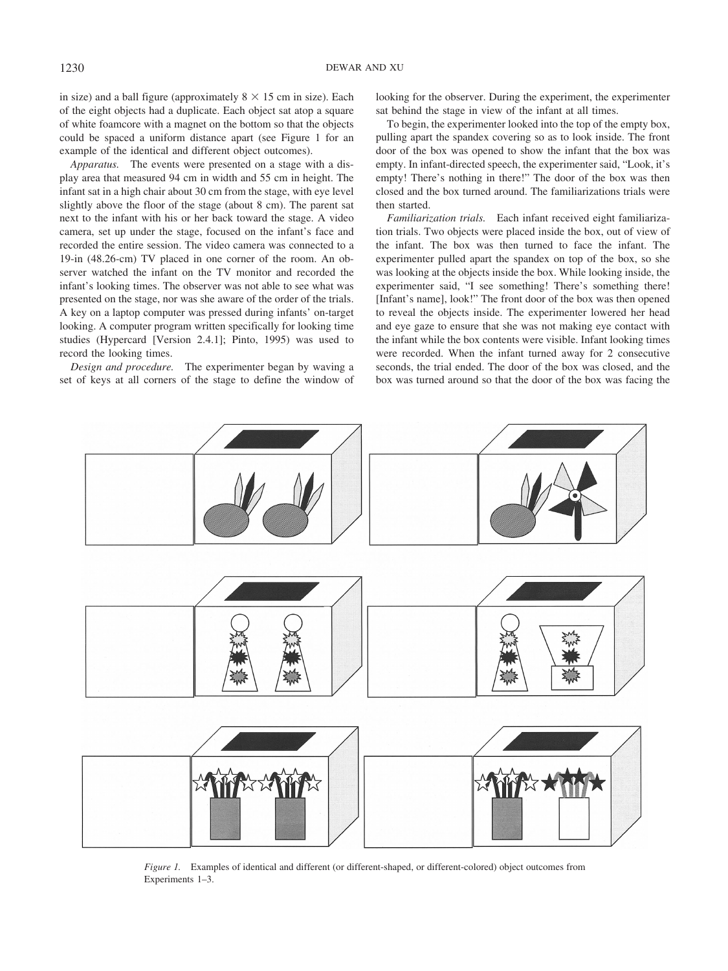in size) and a ball figure (approximately  $8 \times 15$  cm in size). Each of the eight objects had a duplicate. Each object sat atop a square of white foamcore with a magnet on the bottom so that the objects could be spaced a uniform distance apart (see Figure 1 for an example of the identical and different object outcomes).

*Apparatus.* The events were presented on a stage with a display area that measured 94 cm in width and 55 cm in height. The infant sat in a high chair about 30 cm from the stage, with eye level slightly above the floor of the stage (about 8 cm). The parent sat next to the infant with his or her back toward the stage. A video camera, set up under the stage, focused on the infant's face and recorded the entire session. The video camera was connected to a 19-in (48.26-cm) TV placed in one corner of the room. An observer watched the infant on the TV monitor and recorded the infant's looking times. The observer was not able to see what was presented on the stage, nor was she aware of the order of the trials. A key on a laptop computer was pressed during infants' on-target looking. A computer program written specifically for looking time studies (Hypercard [Version 2.4.1]; Pinto, 1995) was used to record the looking times.

*Design and procedure.* The experimenter began by waving a set of keys at all corners of the stage to define the window of looking for the observer. During the experiment, the experimenter sat behind the stage in view of the infant at all times.

To begin, the experimenter looked into the top of the empty box, pulling apart the spandex covering so as to look inside. The front door of the box was opened to show the infant that the box was empty. In infant-directed speech, the experimenter said, "Look, it's empty! There's nothing in there!" The door of the box was then closed and the box turned around. The familiarizations trials were then started.

*Familiarization trials.* Each infant received eight familiarization trials. Two objects were placed inside the box, out of view of the infant. The box was then turned to face the infant. The experimenter pulled apart the spandex on top of the box, so she was looking at the objects inside the box. While looking inside, the experimenter said, "I see something! There's something there! [Infant's name], look!" The front door of the box was then opened to reveal the objects inside. The experimenter lowered her head and eye gaze to ensure that she was not making eye contact with the infant while the box contents were visible. Infant looking times were recorded. When the infant turned away for 2 consecutive seconds, the trial ended. The door of the box was closed, and the box was turned around so that the door of the box was facing the



*Figure 1.* Examples of identical and different (or different-shaped, or different-colored) object outcomes from Experiments 1–3.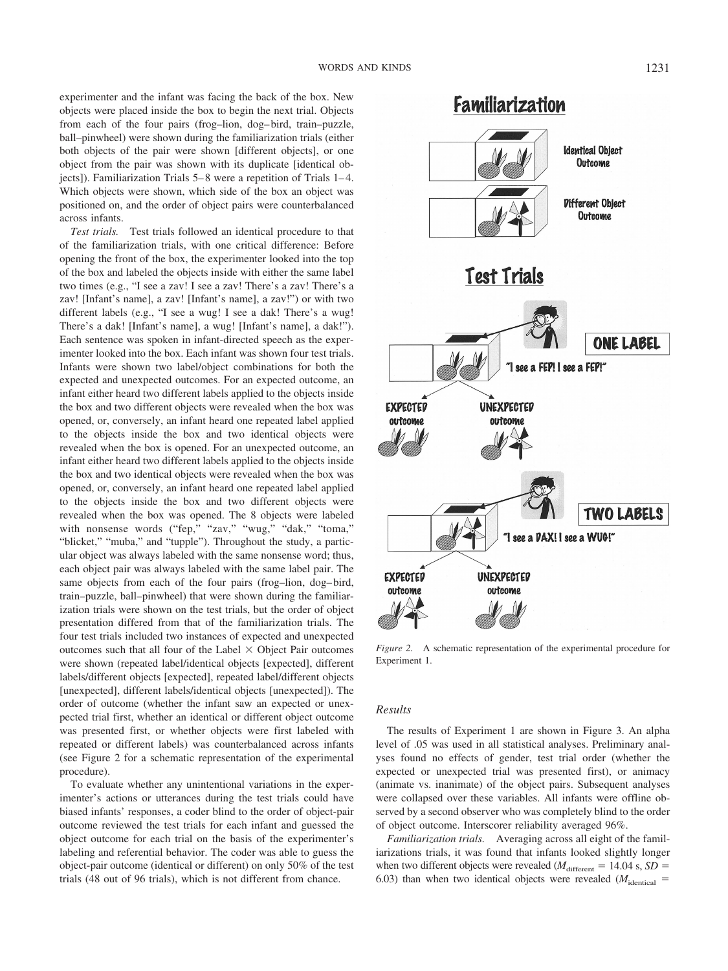experimenter and the infant was facing the back of the box. New objects were placed inside the box to begin the next trial. Objects from each of the four pairs (frog–lion, dog– bird, train–puzzle, ball–pinwheel) were shown during the familiarization trials (either both objects of the pair were shown [different objects], or one object from the pair was shown with its duplicate [identical objects]). Familiarization Trials 5– 8 were a repetition of Trials 1– 4. Which objects were shown, which side of the box an object was positioned on, and the order of object pairs were counterbalanced across infants.

*Test trials.* Test trials followed an identical procedure to that of the familiarization trials, with one critical difference: Before opening the front of the box, the experimenter looked into the top of the box and labeled the objects inside with either the same label two times (e.g., "I see a zav! I see a zav! There's a zav! There's a zav! [Infant's name], a zav! [Infant's name], a zav!") or with two different labels (e.g., "I see a wug! I see a dak! There's a wug! There's a dak! [Infant's name], a wug! [Infant's name], a dak!"). Each sentence was spoken in infant-directed speech as the experimenter looked into the box. Each infant was shown four test trials. Infants were shown two label/object combinations for both the expected and unexpected outcomes. For an expected outcome, an infant either heard two different labels applied to the objects inside the box and two different objects were revealed when the box was opened, or, conversely, an infant heard one repeated label applied to the objects inside the box and two identical objects were revealed when the box is opened. For an unexpected outcome, an infant either heard two different labels applied to the objects inside the box and two identical objects were revealed when the box was opened, or, conversely, an infant heard one repeated label applied to the objects inside the box and two different objects were revealed when the box was opened. The 8 objects were labeled with nonsense words ("fep," "zav," "wug," "dak," "toma," "blicket," "muba," and "tupple"). Throughout the study, a particular object was always labeled with the same nonsense word; thus, each object pair was always labeled with the same label pair. The same objects from each of the four pairs (frog–lion, dog–bird, train–puzzle, ball–pinwheel) that were shown during the familiarization trials were shown on the test trials, but the order of object presentation differed from that of the familiarization trials. The four test trials included two instances of expected and unexpected outcomes such that all four of the Label  $\times$  Object Pair outcomes were shown (repeated label/identical objects [expected], different labels/different objects [expected], repeated label/different objects [unexpected], different labels/identical objects [unexpected]). The order of outcome (whether the infant saw an expected or unexpected trial first, whether an identical or different object outcome was presented first, or whether objects were first labeled with repeated or different labels) was counterbalanced across infants (see Figure 2 for a schematic representation of the experimental procedure).

To evaluate whether any unintentional variations in the experimenter's actions or utterances during the test trials could have biased infants' responses, a coder blind to the order of object-pair outcome reviewed the test trials for each infant and guessed the object outcome for each trial on the basis of the experimenter's labeling and referential behavior. The coder was able to guess the object-pair outcome (identical or different) on only 50% of the test trials (48 out of 96 trials), which is not different from chance.



*Figure 2.* A schematic representation of the experimental procedure for Experiment 1.

## *Results*

The results of Experiment 1 are shown in Figure 3. An alpha level of .05 was used in all statistical analyses. Preliminary analyses found no effects of gender, test trial order (whether the expected or unexpected trial was presented first), or animacy (animate vs. inanimate) of the object pairs. Subsequent analyses were collapsed over these variables. All infants were offline observed by a second observer who was completely blind to the order of object outcome. Interscorer reliability averaged 96%.

*Familiarization trials.* Averaging across all eight of the familiarizations trials, it was found that infants looked slightly longer when two different objects were revealed ( $M_{\text{different}} = 14.04$  s,  $SD =$ 6.03) than when two identical objects were revealed  $(M<sub>identical</sub>)$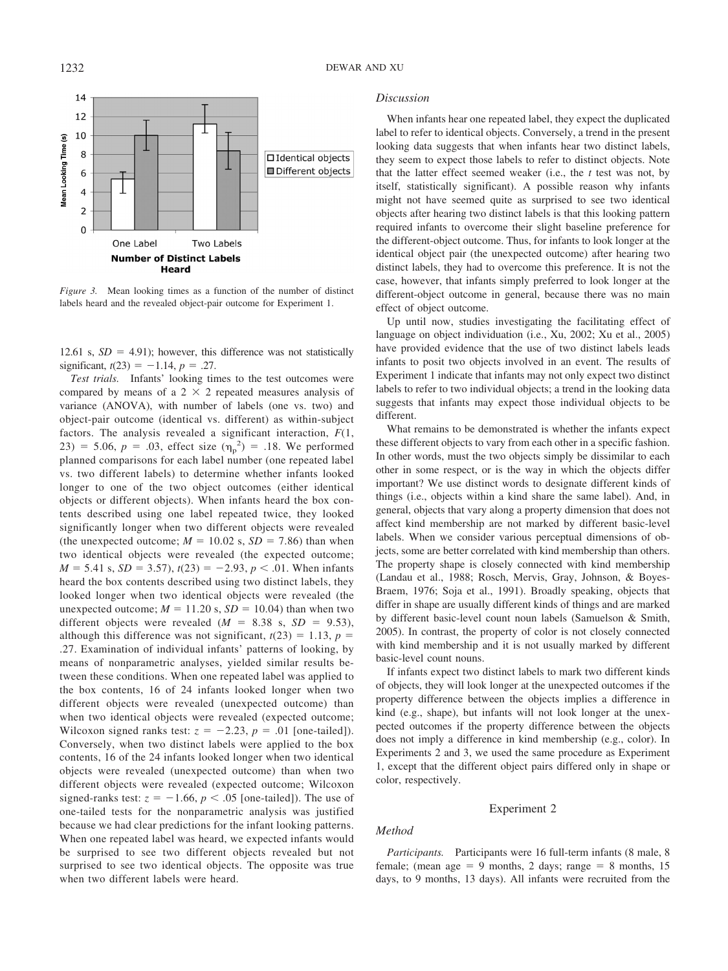

*Figure 3.* Mean looking times as a function of the number of distinct labels heard and the revealed object-pair outcome for Experiment 1.

12.61 s,  $SD = 4.91$ ; however, this difference was not statistically significant,  $t(23) = -1.14$ ,  $p = .27$ .

*Test trials.* Infants' looking times to the test outcomes were compared by means of a  $2 \times 2$  repeated measures analysis of variance (ANOVA), with number of labels (one vs. two) and object-pair outcome (identical vs. different) as within-subject factors. The analysis revealed a significant interaction, *F*(1, 23) = 5.06,  $p = .03$ , effect size  $(\eta_p^2) = .18$ . We performed planned comparisons for each label number (one repeated label vs. two different labels) to determine whether infants looked longer to one of the two object outcomes (either identical objects or different objects). When infants heard the box contents described using one label repeated twice, they looked significantly longer when two different objects were revealed (the unexpected outcome;  $M = 10.02$  s,  $SD = 7.86$ ) than when two identical objects were revealed (the expected outcome;  $M = 5.41$  s,  $SD = 3.57$ ,  $t(23) = -2.93$ ,  $p < .01$ . When infants heard the box contents described using two distinct labels, they looked longer when two identical objects were revealed (the unexpected outcome;  $M = 11.20$  s,  $SD = 10.04$ ) than when two different objects were revealed  $(M = 8.38 \text{ s}, SD = 9.53)$ , although this difference was not significant,  $t(23) = 1.13$ ,  $p =$ .27. Examination of individual infants' patterns of looking, by means of nonparametric analyses, yielded similar results between these conditions. When one repeated label was applied to the box contents, 16 of 24 infants looked longer when two different objects were revealed (unexpected outcome) than when two identical objects were revealed (expected outcome; Wilcoxon signed ranks test:  $z = -2.23$ ,  $p = .01$  [one-tailed]). Conversely, when two distinct labels were applied to the box contents, 16 of the 24 infants looked longer when two identical objects were revealed (unexpected outcome) than when two different objects were revealed (expected outcome; Wilcoxon signed-ranks test:  $z = -1.66$ ,  $p < .05$  [one-tailed]). The use of one-tailed tests for the nonparametric analysis was justified because we had clear predictions for the infant looking patterns. When one repeated label was heard, we expected infants would be surprised to see two different objects revealed but not surprised to see two identical objects. The opposite was true when two different labels were heard.

### *Discussion*

When infants hear one repeated label, they expect the duplicated label to refer to identical objects. Conversely, a trend in the present looking data suggests that when infants hear two distinct labels, they seem to expect those labels to refer to distinct objects. Note that the latter effect seemed weaker (i.e., the *t* test was not, by itself, statistically significant). A possible reason why infants might not have seemed quite as surprised to see two identical objects after hearing two distinct labels is that this looking pattern required infants to overcome their slight baseline preference for the different-object outcome. Thus, for infants to look longer at the identical object pair (the unexpected outcome) after hearing two distinct labels, they had to overcome this preference. It is not the case, however, that infants simply preferred to look longer at the different-object outcome in general, because there was no main effect of object outcome.

Up until now, studies investigating the facilitating effect of language on object individuation (i.e., Xu, 2002; Xu et al., 2005) have provided evidence that the use of two distinct labels leads infants to posit two objects involved in an event. The results of Experiment 1 indicate that infants may not only expect two distinct labels to refer to two individual objects; a trend in the looking data suggests that infants may expect those individual objects to be different.

What remains to be demonstrated is whether the infants expect these different objects to vary from each other in a specific fashion. In other words, must the two objects simply be dissimilar to each other in some respect, or is the way in which the objects differ important? We use distinct words to designate different kinds of things (i.e., objects within a kind share the same label). And, in general, objects that vary along a property dimension that does not affect kind membership are not marked by different basic-level labels. When we consider various perceptual dimensions of objects, some are better correlated with kind membership than others. The property shape is closely connected with kind membership (Landau et al., 1988; Rosch, Mervis, Gray, Johnson, & Boyes-Braem, 1976; Soja et al., 1991). Broadly speaking, objects that differ in shape are usually different kinds of things and are marked by different basic-level count noun labels (Samuelson & Smith, 2005). In contrast, the property of color is not closely connected with kind membership and it is not usually marked by different basic-level count nouns.

If infants expect two distinct labels to mark two different kinds of objects, they will look longer at the unexpected outcomes if the property difference between the objects implies a difference in kind (e.g., shape), but infants will not look longer at the unexpected outcomes if the property difference between the objects does not imply a difference in kind membership (e.g., color). In Experiments 2 and 3, we used the same procedure as Experiment 1, except that the different object pairs differed only in shape or color, respectively.

## Experiment 2

#### *Method*

*Participants.* Participants were 16 full-term infants (8 male, 8 female; (mean age  $= 9$  months, 2 days; range  $= 8$  months, 15 days, to 9 months, 13 days). All infants were recruited from the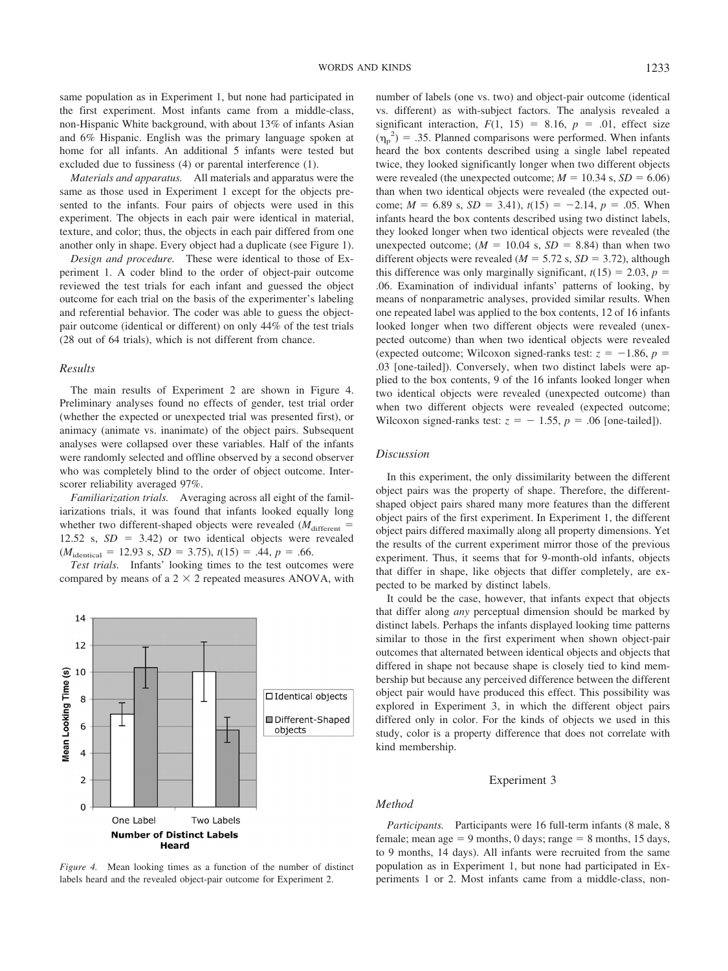same population as in Experiment 1, but none had participated in the first experiment. Most infants came from a middle-class, non-Hispanic White background, with about 13% of infants Asian and 6% Hispanic. English was the primary language spoken at home for all infants. An additional 5 infants were tested but excluded due to fussiness (4) or parental interference (1).

*Materials and apparatus.* All materials and apparatus were the same as those used in Experiment 1 except for the objects presented to the infants. Four pairs of objects were used in this experiment. The objects in each pair were identical in material, texture, and color; thus, the objects in each pair differed from one another only in shape. Every object had a duplicate (see Figure 1).

*Design and procedure.* These were identical to those of Experiment 1. A coder blind to the order of object-pair outcome reviewed the test trials for each infant and guessed the object outcome for each trial on the basis of the experimenter's labeling and referential behavior. The coder was able to guess the objectpair outcome (identical or different) on only 44% of the test trials (28 out of 64 trials), which is not different from chance.

#### *Results*

The main results of Experiment 2 are shown in Figure 4. Preliminary analyses found no effects of gender, test trial order (whether the expected or unexpected trial was presented first), or animacy (animate vs. inanimate) of the object pairs. Subsequent analyses were collapsed over these variables. Half of the infants were randomly selected and offline observed by a second observer who was completely blind to the order of object outcome. Interscorer reliability averaged 97%.

*Familiarization trials.* Averaging across all eight of the familiarizations trials, it was found that infants looked equally long whether two different-shaped objects were revealed  $(M<sub>different</sub>$ 12.52 s,  $SD = 3.42$ ) or two identical objects were revealed  $(M_{\text{identical}} = 12.93 \text{ s}, SD = 3.75), t(15) = .44, p = .66.$ 

*Test trials.* Infants' looking times to the test outcomes were compared by means of a  $2 \times 2$  repeated measures ANOVA, with



*Figure 4.* Mean looking times as a function of the number of distinct labels heard and the revealed object-pair outcome for Experiment 2.

number of labels (one vs. two) and object-pair outcome (identical vs. different) as with-subject factors. The analysis revealed a significant interaction,  $F(1, 15) = 8.16$ ,  $p = .01$ , effect size  $(\eta_{\rm p}^2) = .35$ . Planned comparisons were performed. When infants heard the box contents described using a single label repeated twice, they looked significantly longer when two different objects were revealed (the unexpected outcome;  $M = 10.34$  s,  $SD = 6.06$ ) than when two identical objects were revealed (the expected outcome;  $M = 6.89$  s,  $SD = 3.41$ ),  $t(15) = -2.14$ ,  $p = .05$ . When infants heard the box contents described using two distinct labels, they looked longer when two identical objects were revealed (the unexpected outcome;  $(M = 10.04 \text{ s}, SD = 8.84)$  than when two different objects were revealed ( $M = 5.72$  s,  $SD = 3.72$ ), although this difference was only marginally significant,  $t(15) = 2.03$ ,  $p =$ .06. Examination of individual infants' patterns of looking, by means of nonparametric analyses, provided similar results. When one repeated label was applied to the box contents, 12 of 16 infants looked longer when two different objects were revealed (unexpected outcome) than when two identical objects were revealed (expected outcome; Wilcoxon signed-ranks test:  $z = -1.86$ ,  $p =$ .03 [one-tailed]). Conversely, when two distinct labels were applied to the box contents, 9 of the 16 infants looked longer when two identical objects were revealed (unexpected outcome) than when two different objects were revealed (expected outcome; Wilcoxon signed-ranks test:  $z = -1.55$ ,  $p = .06$  [one-tailed]).

## *Discussion*

In this experiment, the only dissimilarity between the different object pairs was the property of shape. Therefore, the differentshaped object pairs shared many more features than the different object pairs of the first experiment. In Experiment 1, the different object pairs differed maximally along all property dimensions. Yet the results of the current experiment mirror those of the previous experiment. Thus, it seems that for 9-month-old infants, objects that differ in shape, like objects that differ completely, are expected to be marked by distinct labels.

It could be the case, however, that infants expect that objects that differ along *any* perceptual dimension should be marked by distinct labels. Perhaps the infants displayed looking time patterns similar to those in the first experiment when shown object-pair outcomes that alternated between identical objects and objects that differed in shape not because shape is closely tied to kind membership but because any perceived difference between the different object pair would have produced this effect. This possibility was explored in Experiment 3, in which the different object pairs differed only in color. For the kinds of objects we used in this study, color is a property difference that does not correlate with kind membership.

#### Experiment 3

## *Method*

*Participants.* Participants were 16 full-term infants (8 male, 8 female; mean age  $= 9$  months, 0 days; range  $= 8$  months, 15 days, to 9 months, 14 days). All infants were recruited from the same population as in Experiment 1, but none had participated in Experiments 1 or 2. Most infants came from a middle-class, non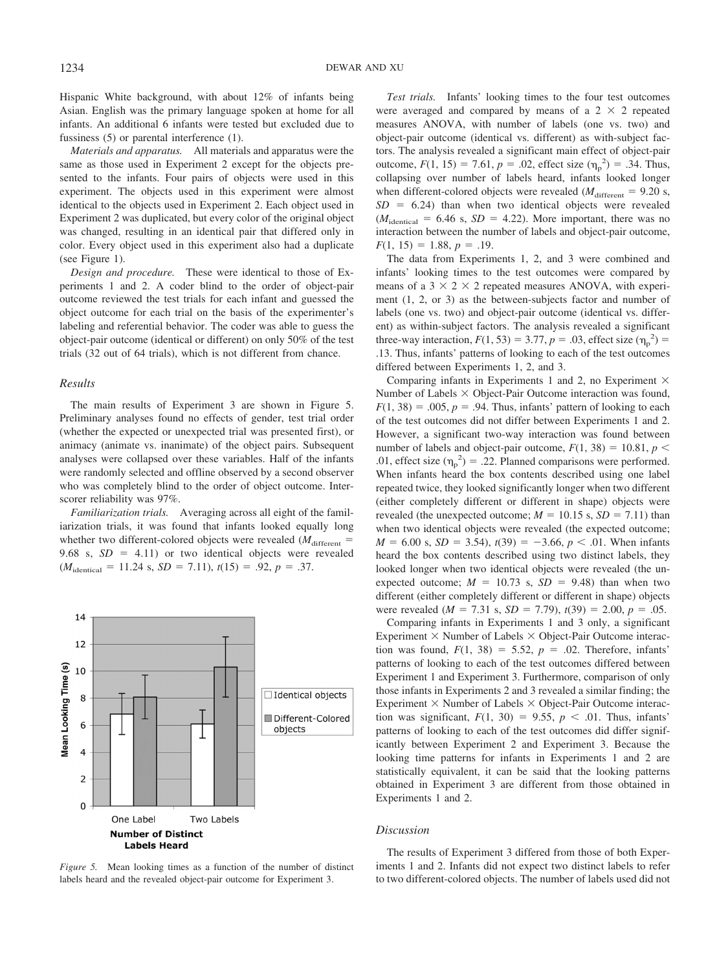Hispanic White background, with about 12% of infants being Asian. English was the primary language spoken at home for all infants. An additional 6 infants were tested but excluded due to fussiness (5) or parental interference (1).

*Materials and apparatus.* All materials and apparatus were the same as those used in Experiment 2 except for the objects presented to the infants. Four pairs of objects were used in this experiment. The objects used in this experiment were almost identical to the objects used in Experiment 2. Each object used in Experiment 2 was duplicated, but every color of the original object was changed, resulting in an identical pair that differed only in color. Every object used in this experiment also had a duplicate (see Figure 1).

*Design and procedure.* These were identical to those of Experiments 1 and 2. A coder blind to the order of object-pair outcome reviewed the test trials for each infant and guessed the object outcome for each trial on the basis of the experimenter's labeling and referential behavior. The coder was able to guess the object-pair outcome (identical or different) on only 50% of the test trials (32 out of 64 trials), which is not different from chance.

### *Results*

The main results of Experiment 3 are shown in Figure 5. Preliminary analyses found no effects of gender, test trial order (whether the expected or unexpected trial was presented first), or animacy (animate vs. inanimate) of the object pairs. Subsequent analyses were collapsed over these variables. Half of the infants were randomly selected and offline observed by a second observer who was completely blind to the order of object outcome. Interscorer reliability was 97%.

*Familiarization trials.* Averaging across all eight of the familiarization trials, it was found that infants looked equally long whether two different-colored objects were revealed ( $M<sub>different</sub>$ ) 9.68 s,  $SD = 4.11$ ) or two identical objects were revealed  $(M_{\text{identical}} = 11.24 \text{ s}, SD = 7.11), t(15) = .92, p = .37.$ 



*Figure 5.* Mean looking times as a function of the number of distinct labels heard and the revealed object-pair outcome for Experiment 3.

*Test trials.* Infants' looking times to the four test outcomes were averaged and compared by means of a  $2 \times 2$  repeated measures ANOVA, with number of labels (one vs. two) and object-pair outcome (identical vs. different) as with-subject factors. The analysis revealed a significant main effect of object-pair outcome,  $F(1, 15) = 7.61$ ,  $p = .02$ , effect size  $(\eta_p^2) = .34$ . Thus, collapsing over number of labels heard, infants looked longer when different-colored objects were revealed ( $M_{\text{different}}$  = 9.20 s,  $SD = 6.24$ ) than when two identical objects were revealed  $(M<sub>identical</sub> = 6.46 s, SD = 4.22)$ . More important, there was no interaction between the number of labels and object-pair outcome,  $F(1, 15) = 1.88, p = .19.$ 

The data from Experiments 1, 2, and 3 were combined and infants' looking times to the test outcomes were compared by means of a  $3 \times 2 \times 2$  repeated measures ANOVA, with experiment (1, 2, or 3) as the between-subjects factor and number of labels (one vs. two) and object-pair outcome (identical vs. different) as within-subject factors. The analysis revealed a significant three-way interaction,  $F(1, 53) = 3.77$ ,  $p = .03$ , effect size ( $\eta_p^2$ ) = .13. Thus, infants' patterns of looking to each of the test outcomes differed between Experiments 1, 2, and 3.

Comparing infants in Experiments 1 and 2, no Experiment  $\times$ Number of Labels  $\times$  Object-Pair Outcome interaction was found,  $F(1, 38) = .005$ ,  $p = .94$ . Thus, infants' pattern of looking to each of the test outcomes did not differ between Experiments 1 and 2. However, a significant two-way interaction was found between number of labels and object-pair outcome,  $F(1, 38) = 10.81$ ,  $p <$ .01, effect size  $(\eta_p^2) = .22$ . Planned comparisons were performed. When infants heard the box contents described using one label repeated twice, they looked significantly longer when two different (either completely different or different in shape) objects were revealed (the unexpected outcome;  $M = 10.15$  s,  $SD = 7.11$ ) than when two identical objects were revealed (the expected outcome;  $M = 6.00$  s,  $SD = 3.54$ ,  $t(39) = -3.66$ ,  $p < .01$ . When infants heard the box contents described using two distinct labels, they looked longer when two identical objects were revealed (the unexpected outcome;  $M = 10.73$  s,  $SD = 9.48$ ) than when two different (either completely different or different in shape) objects were revealed  $(M = 7.31 \text{ s}, SD = 7.79)$ ,  $t(39) = 2.00, p = .05$ .

Comparing infants in Experiments 1 and 3 only, a significant Experiment  $\times$  Number of Labels  $\times$  Object-Pair Outcome interaction was found,  $F(1, 38) = 5.52$ ,  $p = .02$ . Therefore, infants' patterns of looking to each of the test outcomes differed between Experiment 1 and Experiment 3. Furthermore, comparison of only those infants in Experiments 2 and 3 revealed a similar finding; the Experiment  $\times$  Number of Labels  $\times$  Object-Pair Outcome interaction was significant,  $F(1, 30) = 9.55$ ,  $p < .01$ . Thus, infants' patterns of looking to each of the test outcomes did differ significantly between Experiment 2 and Experiment 3. Because the looking time patterns for infants in Experiments 1 and 2 are statistically equivalent, it can be said that the looking patterns obtained in Experiment 3 are different from those obtained in Experiments 1 and 2.

#### *Discussion*

The results of Experiment 3 differed from those of both Experiments 1 and 2. Infants did not expect two distinct labels to refer to two different-colored objects. The number of labels used did not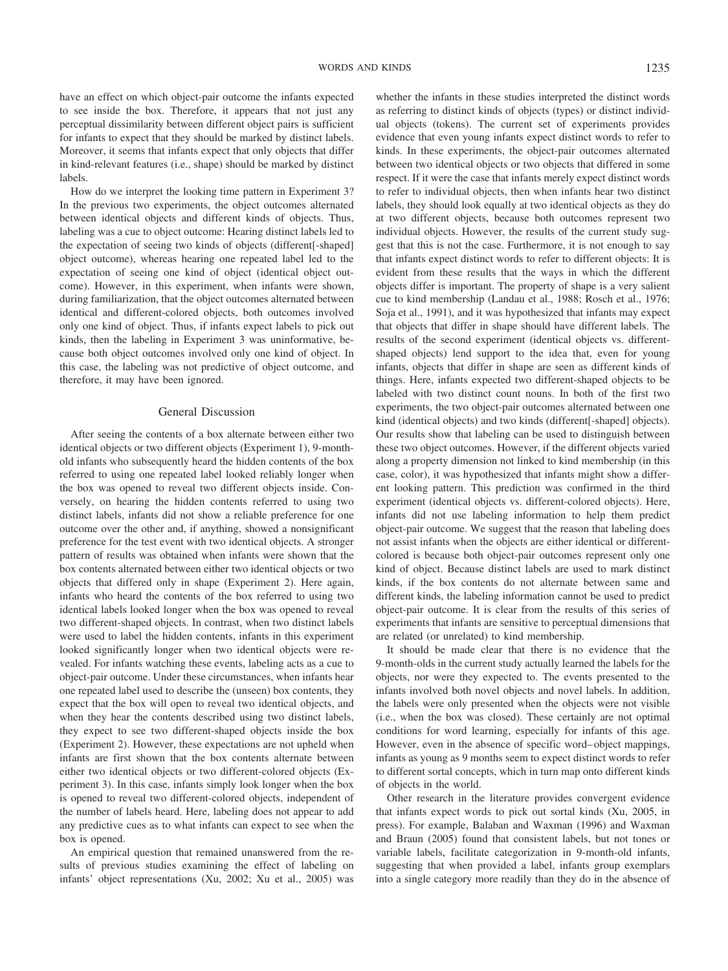have an effect on which object-pair outcome the infants expected to see inside the box. Therefore, it appears that not just any perceptual dissimilarity between different object pairs is sufficient for infants to expect that they should be marked by distinct labels. Moreover, it seems that infants expect that only objects that differ in kind-relevant features (i.e., shape) should be marked by distinct labels.

How do we interpret the looking time pattern in Experiment 3? In the previous two experiments, the object outcomes alternated between identical objects and different kinds of objects. Thus, labeling was a cue to object outcome: Hearing distinct labels led to the expectation of seeing two kinds of objects (different[-shaped] object outcome), whereas hearing one repeated label led to the expectation of seeing one kind of object (identical object outcome). However, in this experiment, when infants were shown, during familiarization, that the object outcomes alternated between identical and different-colored objects, both outcomes involved only one kind of object. Thus, if infants expect labels to pick out kinds, then the labeling in Experiment 3 was uninformative, because both object outcomes involved only one kind of object. In this case, the labeling was not predictive of object outcome, and therefore, it may have been ignored.

## General Discussion

After seeing the contents of a box alternate between either two identical objects or two different objects (Experiment 1), 9-monthold infants who subsequently heard the hidden contents of the box referred to using one repeated label looked reliably longer when the box was opened to reveal two different objects inside. Conversely, on hearing the hidden contents referred to using two distinct labels, infants did not show a reliable preference for one outcome over the other and, if anything, showed a nonsignificant preference for the test event with two identical objects. A stronger pattern of results was obtained when infants were shown that the box contents alternated between either two identical objects or two objects that differed only in shape (Experiment 2). Here again, infants who heard the contents of the box referred to using two identical labels looked longer when the box was opened to reveal two different-shaped objects. In contrast, when two distinct labels were used to label the hidden contents, infants in this experiment looked significantly longer when two identical objects were revealed. For infants watching these events, labeling acts as a cue to object-pair outcome. Under these circumstances, when infants hear one repeated label used to describe the (unseen) box contents, they expect that the box will open to reveal two identical objects, and when they hear the contents described using two distinct labels, they expect to see two different-shaped objects inside the box (Experiment 2). However, these expectations are not upheld when infants are first shown that the box contents alternate between either two identical objects or two different-colored objects (Experiment 3). In this case, infants simply look longer when the box is opened to reveal two different-colored objects, independent of the number of labels heard. Here, labeling does not appear to add any predictive cues as to what infants can expect to see when the box is opened.

An empirical question that remained unanswered from the results of previous studies examining the effect of labeling on infants' object representations (Xu, 2002; Xu et al., 2005) was whether the infants in these studies interpreted the distinct words as referring to distinct kinds of objects (types) or distinct individual objects (tokens). The current set of experiments provides evidence that even young infants expect distinct words to refer to kinds. In these experiments, the object-pair outcomes alternated between two identical objects or two objects that differed in some respect. If it were the case that infants merely expect distinct words to refer to individual objects, then when infants hear two distinct labels, they should look equally at two identical objects as they do at two different objects, because both outcomes represent two individual objects. However, the results of the current study suggest that this is not the case. Furthermore, it is not enough to say that infants expect distinct words to refer to different objects: It is evident from these results that the ways in which the different objects differ is important. The property of shape is a very salient cue to kind membership (Landau et al., 1988; Rosch et al., 1976; Soja et al., 1991), and it was hypothesized that infants may expect that objects that differ in shape should have different labels. The results of the second experiment (identical objects vs. differentshaped objects) lend support to the idea that, even for young infants, objects that differ in shape are seen as different kinds of things. Here, infants expected two different-shaped objects to be labeled with two distinct count nouns. In both of the first two experiments, the two object-pair outcomes alternated between one kind (identical objects) and two kinds (different[-shaped] objects). Our results show that labeling can be used to distinguish between these two object outcomes. However, if the different objects varied along a property dimension not linked to kind membership (in this case, color), it was hypothesized that infants might show a different looking pattern. This prediction was confirmed in the third experiment (identical objects vs. different-colored objects). Here, infants did not use labeling information to help them predict object-pair outcome. We suggest that the reason that labeling does not assist infants when the objects are either identical or differentcolored is because both object-pair outcomes represent only one kind of object. Because distinct labels are used to mark distinct kinds, if the box contents do not alternate between same and different kinds, the labeling information cannot be used to predict object-pair outcome. It is clear from the results of this series of experiments that infants are sensitive to perceptual dimensions that are related (or unrelated) to kind membership.

It should be made clear that there is no evidence that the 9-month-olds in the current study actually learned the labels for the objects, nor were they expected to. The events presented to the infants involved both novel objects and novel labels. In addition, the labels were only presented when the objects were not visible (i.e., when the box was closed). These certainly are not optimal conditions for word learning, especially for infants of this age. However, even in the absence of specific word– object mappings, infants as young as 9 months seem to expect distinct words to refer to different sortal concepts, which in turn map onto different kinds of objects in the world.

Other research in the literature provides convergent evidence that infants expect words to pick out sortal kinds (Xu, 2005, in press). For example, Balaban and Waxman (1996) and Waxman and Braun (2005) found that consistent labels, but not tones or variable labels, facilitate categorization in 9-month-old infants, suggesting that when provided a label, infants group exemplars into a single category more readily than they do in the absence of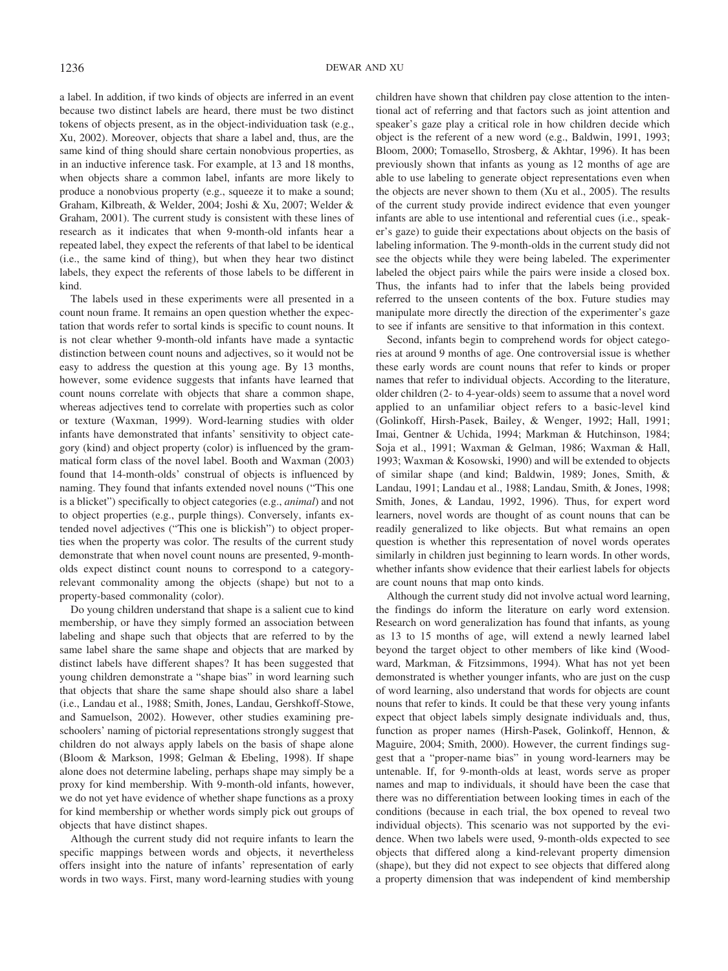a label. In addition, if two kinds of objects are inferred in an event because two distinct labels are heard, there must be two distinct tokens of objects present, as in the object-individuation task (e.g., Xu, 2002). Moreover, objects that share a label and, thus, are the same kind of thing should share certain nonobvious properties, as in an inductive inference task. For example, at 13 and 18 months, when objects share a common label, infants are more likely to produce a nonobvious property (e.g., squeeze it to make a sound; Graham, Kilbreath, & Welder, 2004; Joshi & Xu, 2007; Welder & Graham, 2001). The current study is consistent with these lines of research as it indicates that when 9-month-old infants hear a repeated label, they expect the referents of that label to be identical (i.e., the same kind of thing), but when they hear two distinct labels, they expect the referents of those labels to be different in kind.

The labels used in these experiments were all presented in a count noun frame. It remains an open question whether the expectation that words refer to sortal kinds is specific to count nouns. It is not clear whether 9-month-old infants have made a syntactic distinction between count nouns and adjectives, so it would not be easy to address the question at this young age. By 13 months, however, some evidence suggests that infants have learned that count nouns correlate with objects that share a common shape, whereas adjectives tend to correlate with properties such as color or texture (Waxman, 1999). Word-learning studies with older infants have demonstrated that infants' sensitivity to object category (kind) and object property (color) is influenced by the grammatical form class of the novel label. Booth and Waxman (2003) found that 14-month-olds' construal of objects is influenced by naming. They found that infants extended novel nouns ("This one is a blicket") specifically to object categories (e.g., *animal*) and not to object properties (e.g., purple things). Conversely, infants extended novel adjectives ("This one is blickish") to object properties when the property was color. The results of the current study demonstrate that when novel count nouns are presented, 9-montholds expect distinct count nouns to correspond to a categoryrelevant commonality among the objects (shape) but not to a property-based commonality (color).

Do young children understand that shape is a salient cue to kind membership, or have they simply formed an association between labeling and shape such that objects that are referred to by the same label share the same shape and objects that are marked by distinct labels have different shapes? It has been suggested that young children demonstrate a "shape bias" in word learning such that objects that share the same shape should also share a label (i.e., Landau et al., 1988; Smith, Jones, Landau, Gershkoff-Stowe, and Samuelson, 2002). However, other studies examining preschoolers' naming of pictorial representations strongly suggest that children do not always apply labels on the basis of shape alone (Bloom & Markson, 1998; Gelman & Ebeling, 1998). If shape alone does not determine labeling, perhaps shape may simply be a proxy for kind membership. With 9-month-old infants, however, we do not yet have evidence of whether shape functions as a proxy for kind membership or whether words simply pick out groups of objects that have distinct shapes.

Although the current study did not require infants to learn the specific mappings between words and objects, it nevertheless offers insight into the nature of infants' representation of early words in two ways. First, many word-learning studies with young children have shown that children pay close attention to the intentional act of referring and that factors such as joint attention and speaker's gaze play a critical role in how children decide which object is the referent of a new word (e.g., Baldwin, 1991, 1993; Bloom, 2000; Tomasello, Strosberg, & Akhtar, 1996). It has been previously shown that infants as young as 12 months of age are able to use labeling to generate object representations even when the objects are never shown to them (Xu et al., 2005). The results of the current study provide indirect evidence that even younger infants are able to use intentional and referential cues (i.e., speaker's gaze) to guide their expectations about objects on the basis of labeling information. The 9-month-olds in the current study did not see the objects while they were being labeled. The experimenter labeled the object pairs while the pairs were inside a closed box. Thus, the infants had to infer that the labels being provided referred to the unseen contents of the box. Future studies may manipulate more directly the direction of the experimenter's gaze to see if infants are sensitive to that information in this context.

Second, infants begin to comprehend words for object categories at around 9 months of age. One controversial issue is whether these early words are count nouns that refer to kinds or proper names that refer to individual objects. According to the literature, older children (2- to 4-year-olds) seem to assume that a novel word applied to an unfamiliar object refers to a basic-level kind (Golinkoff, Hirsh-Pasek, Bailey, & Wenger, 1992; Hall, 1991; Imai, Gentner & Uchida, 1994; Markman & Hutchinson, 1984; Soja et al., 1991; Waxman & Gelman, 1986; Waxman & Hall, 1993; Waxman & Kosowski, 1990) and will be extended to objects of similar shape (and kind; Baldwin, 1989; Jones, Smith, & Landau, 1991; Landau et al., 1988; Landau, Smith, & Jones, 1998; Smith, Jones, & Landau, 1992, 1996). Thus, for expert word learners, novel words are thought of as count nouns that can be readily generalized to like objects. But what remains an open question is whether this representation of novel words operates similarly in children just beginning to learn words. In other words, whether infants show evidence that their earliest labels for objects are count nouns that map onto kinds.

Although the current study did not involve actual word learning, the findings do inform the literature on early word extension. Research on word generalization has found that infants, as young as 13 to 15 months of age, will extend a newly learned label beyond the target object to other members of like kind (Woodward, Markman, & Fitzsimmons, 1994). What has not yet been demonstrated is whether younger infants, who are just on the cusp of word learning, also understand that words for objects are count nouns that refer to kinds. It could be that these very young infants expect that object labels simply designate individuals and, thus, function as proper names (Hirsh-Pasek, Golinkoff, Hennon, & Maguire, 2004; Smith, 2000). However, the current findings suggest that a "proper-name bias" in young word-learners may be untenable. If, for 9-month-olds at least, words serve as proper names and map to individuals, it should have been the case that there was no differentiation between looking times in each of the conditions (because in each trial, the box opened to reveal two individual objects). This scenario was not supported by the evidence. When two labels were used, 9-month-olds expected to see objects that differed along a kind-relevant property dimension (shape), but they did not expect to see objects that differed along a property dimension that was independent of kind membership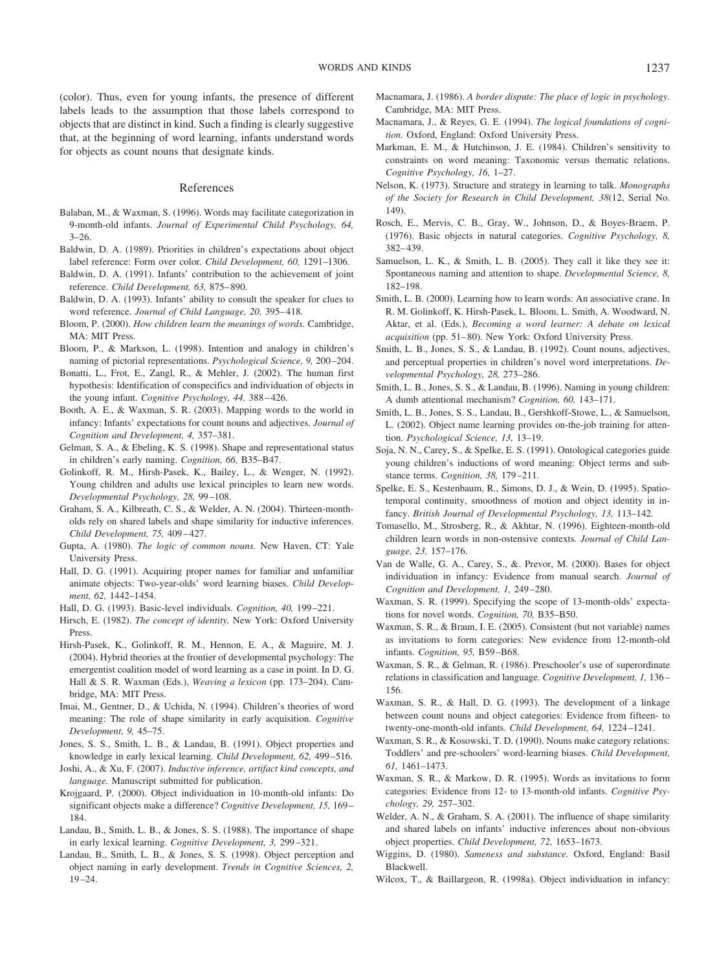(color). Thus, even for young infants, the presence of different labels leads to the assumption that those labels correspond to objects that are distinct in kind. Such a finding is clearly suggestive that, at the beginning of word learning, infants understand words for objects as count nouns that designate kinds.

## References

- Balaban, M., & Waxman, S. (1996). Words may facilitate categorization in 9-month-old infants. *Journal of Experimental Child Psychology, 64,*  $3 - 26.$
- Baldwin, D. A. (1989). Priorities in children's expectations about object label reference: Form over color. *Child Development, 60,* 1291–1306.
- Baldwin, D. A. (1991). Infants' contribution to the achievement of joint reference. *Child Development, 63,* 875– 890.
- Baldwin, D. A. (1993). Infants' ability to consult the speaker for clues to word reference. *Journal of Child Language, 20,* 395– 418.
- Bloom, P. (2000). *How children learn the meanings of words.* Cambridge, MA: MIT Press.
- Bloom, P., & Markson, L. (1998). Intention and analogy in children's naming of pictorial representations. *Psychological Science, 9,* 200 –204.
- Bonatti, L., Frot, E., Zangl, R., & Mehler, J. (2002). The human first hypothesis: Identification of conspecifics and individuation of objects in the young infant. *Cognitive Psychology*, 44, 388-426.
- Booth, A. E., & Waxman, S. R. (2003). Mapping words to the world in infancy: Infants' expectations for count nouns and adjectives. *Journal of Cognition and Development, 4,* 357–381.
- Gelman, S. A., & Ebeling, K. S. (1998). Shape and representational status in children's early naming. *Cognition, 66,* B35–B47.
- Golinkoff, R. M., Hirsh-Pasek, K., Bailey, L., & Wenger, N. (1992). Young children and adults use lexical principles to learn new words. *Developmental Psychology, 28,* 99 –108.
- Graham, S. A., Kilbreath, C. S., & Welder, A. N. (2004). Thirteen-montholds rely on shared labels and shape similarity for inductive inferences. *Child Development, 75,* 409 – 427.
- Gupta, A. (1980). *The logic of common nouns.* New Haven, CT: Yale University Press.
- Hall, D. G. (1991). Acquiring proper names for familiar and unfamiliar animate objects: Two-year-olds' word learning biases. *Child Development, 62,* 1442–1454.
- Hall, D. G. (1993). Basic-level individuals. *Cognition, 40,* 199 –221.
- Hirsch, E. (1982). *The concept of identity.* New York: Oxford University Press.
- Hirsh-Pasek, K., Golinkoff, R. M., Hennon, E. A., & Maguire, M. J. (2004). Hybrid theories at the frontier of developmental psychology: The emergentist coalition model of word learning as a case in point. In D. G. Hall & S. R. Waxman (Eds.), *Weaving a lexicon* (pp. 173–204). Cambridge, MA: MIT Press.
- Imai, M., Gentner, D., & Uchida, N. (1994). Children's theories of word meaning: The role of shape similarity in early acquisition. *Cognitive Development, 9,* 45–75.
- Jones, S. S., Smith, L. B., & Landau, B. (1991). Object properties and knowledge in early lexical learning. *Child Development, 62,* 499 –516.
- Joshi, A., & Xu, F. (2007). *Inductive inference, artifact kind concepts, and language.* Manuscript submitted for publication.
- Krojgaard, P. (2000). Object individuation in 10-month-old infants: Do significant objects make a difference? *Cognitive Development, 15,* 169 – 184.
- Landau, B., Smith, L. B., & Jones, S. S. (1988). The importance of shape in early lexical learning. *Cognitive Development, 3,* 299 –321.
- Landau, B., Smith, L. B., & Jones, S. S. (1998). Object perception and object naming in early development. *Trends in Cognitive Sciences, 2,* 19 –24.
- Macnamara, J. (1986). *A border dispute: The place of logic in psychology.* Cambridge, MA: MIT Press.
- Macnamara, J., & Reyes, G. E. (1994). *The logical foundations of cognition.* Oxford, England: Oxford University Press.
- Markman, E. M., & Hutchinson, J. E. (1984). Children's sensitivity to constraints on word meaning: Taxonomic versus thematic relations. *Cognitive Psychology, 16,* 1–27.
- Nelson, K. (1973). Structure and strategy in learning to talk. *Monographs of the Society for Research in Child Development, 38*(12, Serial No. 149).
- Rosch, E., Mervis, C. B., Gray, W., Johnson, D., & Boyes-Braem, P. (1976). Basic objects in natural categories. *Cognitive Psychology, 8,* 382– 439.
- Samuelson, L. K., & Smith, L. B. (2005). They call it like they see it: Spontaneous naming and attention to shape. *Developmental Science, 8,* 182–198.
- Smith, L. B. (2000). Learning how to learn words: An associative crane. In R. M. Golinkoff, K. Hirsh-Pasek, L. Bloom, L. Smith, A. Woodward, N. Aktar, et al. (Eds.), *Becoming a word learner: A debate on lexical acquisition* (pp. 51–80). New York: Oxford University Press.
- Smith, L. B., Jones, S. S., & Landau, B. (1992). Count nouns, adjectives, and perceptual properties in children's novel word interpretations. *Developmental Psychology, 28,* 273–286.
- Smith, L. B., Jones, S. S., & Landau, B. (1996). Naming in young children: A dumb attentional mechanism? *Cognition, 60,* 143–171.
- Smith, L. B., Jones, S. S., Landau, B., Gershkoff-Stowe, L., & Samuelson, L. (2002). Object name learning provides on-the-job training for attention. *Psychological Science, 13,* 13–19.
- Soja, N. N., Carey, S., & Spelke, E. S. (1991). Ontological categories guide young children's inductions of word meaning: Object terms and substance terms. *Cognition, 38,* 179 –211.
- Spelke, E. S., Kestenbaum, R., Simons, D. J., & Wein, D. (1995). Spatiotemporal continuity, smoothness of motion and object identity in infancy. *British Journal of Developmental Psychology, 13,* 113–142.
- Tomasello, M., Strosberg, R., & Akhtar, N. (1996). Eighteen-month-old children learn words in non-ostensive contexts. *Journal of Child Language, 23,* 157–176.
- Van de Walle, G. A., Carey, S., &. Prevor, M. (2000). Bases for object individuation in infancy: Evidence from manual search. *Journal of Cognition and Development, 1,* 249 –280.
- Waxman, S. R. (1999). Specifying the scope of 13-month-olds' expectations for novel words. *Cognition, 70,* B35–B50.
- Waxman, S. R., & Braun, I. E. (2005). Consistent (but not variable) names as invitations to form categories: New evidence from 12-month-old infants. *Cognition, 95,* B59 –B68.
- Waxman, S. R., & Gelman, R. (1986). Preschooler's use of superordinate relations in classification and language. *Cognitive Development, 1,* 136 – 156.
- Waxman, S. R., & Hall, D. G. (1993). The development of a linkage between count nouns and object categories: Evidence from fifteen- to twenty-one-month-old infants. *Child Development, 64,* 1224 –1241.
- Waxman, S. R., & Kosowski, T. D. (1990). Nouns make category relations: Toddlers' and pre-schoolers' word-learning biases. *Child Development, 61,* 1461–1473.
- Waxman, S. R., & Markow, D. R. (1995). Words as invitations to form categories: Evidence from 12- to 13-month-old infants. *Cognitive Psychology, 29,* 257–302.
- Welder, A. N., & Graham, S. A. (2001). The influence of shape similarity and shared labels on infants' inductive inferences about non-obvious object properties. *Child Development, 72,* 1653–1673.
- Wiggins, D. (1980). *Sameness and substance.* Oxford, England: Basil Blackwell.
- Wilcox, T., & Baillargeon, R. (1998a). Object individuation in infancy: